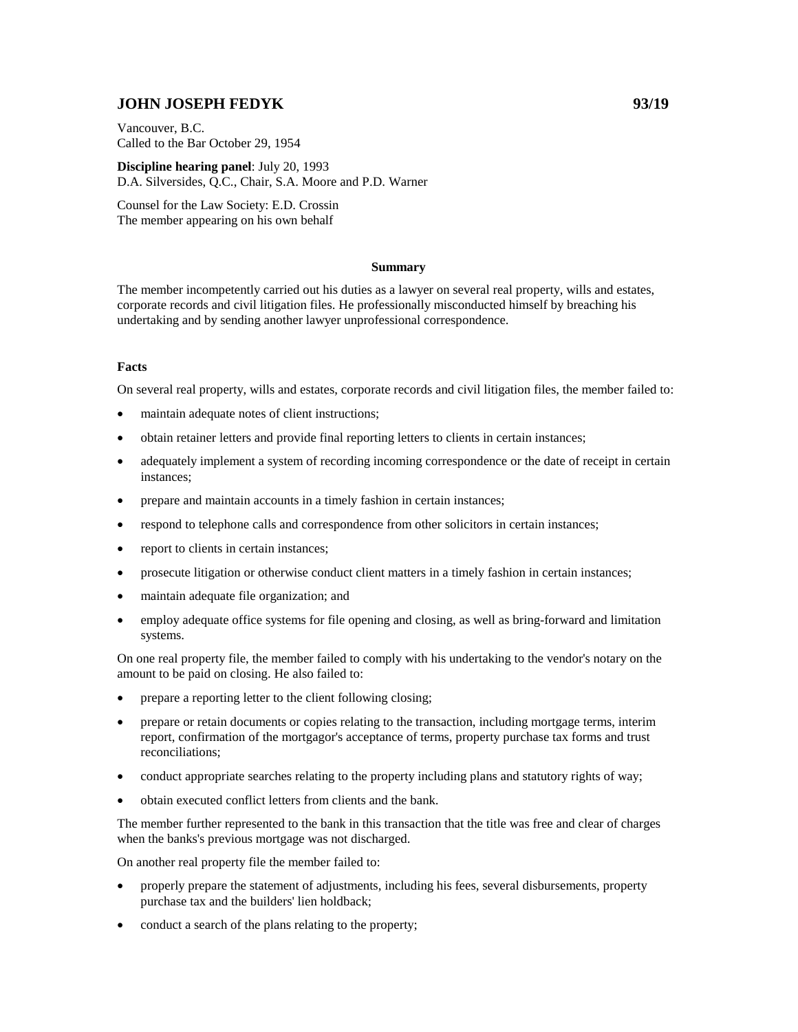# **JOHN JOSEPH FEDYK 93/19**

Vancouver, B.C. Called to the Bar October 29, 1954

**Discipline hearing panel**: July 20, 1993 D.A. Silversides, Q.C., Chair, S.A. Moore and P.D. Warner

Counsel for the Law Society: E.D. Crossin The member appearing on his own behalf

## **Summary**

The member incompetently carried out his duties as a lawyer on several real property, wills and estates, corporate records and civil litigation files. He professionally misconducted himself by breaching his undertaking and by sending another lawyer unprofessional correspondence.

#### **Facts**

On several real property, wills and estates, corporate records and civil litigation files, the member failed to:

- maintain adequate notes of client instructions;
- obtain retainer letters and provide final reporting letters to clients in certain instances;
- adequately implement a system of recording incoming correspondence or the date of receipt in certain instances;
- prepare and maintain accounts in a timely fashion in certain instances;
- respond to telephone calls and correspondence from other solicitors in certain instances;
- report to clients in certain instances;
- prosecute litigation or otherwise conduct client matters in a timely fashion in certain instances;
- maintain adequate file organization; and
- employ adequate office systems for file opening and closing, as well as bring-forward and limitation systems.

On one real property file, the member failed to comply with his undertaking to the vendor's notary on the amount to be paid on closing. He also failed to:

- prepare a reporting letter to the client following closing;
- prepare or retain documents or copies relating to the transaction, including mortgage terms, interim report, confirmation of the mortgagor's acceptance of terms, property purchase tax forms and trust reconciliations;
- conduct appropriate searches relating to the property including plans and statutory rights of way;
- obtain executed conflict letters from clients and the bank.

The member further represented to the bank in this transaction that the title was free and clear of charges when the banks's previous mortgage was not discharged.

On another real property file the member failed to:

- properly prepare the statement of adjustments, including his fees, several disbursements, property purchase tax and the builders' lien holdback;
- conduct a search of the plans relating to the property;